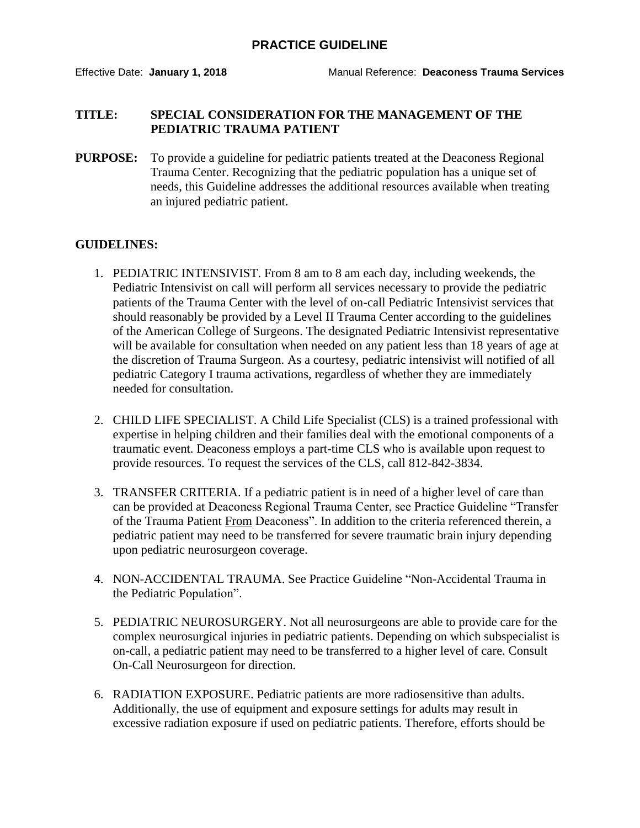## **PRACTICE GUIDELINE**

## **TITLE: SPECIAL CONSIDERATION FOR THE MANAGEMENT OF THE PEDIATRIC TRAUMA PATIENT**

**PURPOSE:** To provide a guideline for pediatric patients treated at the Deaconess Regional Trauma Center. Recognizing that the pediatric population has a unique set of needs, this Guideline addresses the additional resources available when treating an injured pediatric patient.

## **GUIDELINES:**

- 1. PEDIATRIC INTENSIVIST. From 8 am to 8 am each day, including weekends, the Pediatric Intensivist on call will perform all services necessary to provide the pediatric patients of the Trauma Center with the level of on-call Pediatric Intensivist services that should reasonably be provided by a Level II Trauma Center according to the guidelines of the American College of Surgeons. The designated Pediatric Intensivist representative will be available for consultation when needed on any patient less than 18 years of age at the discretion of Trauma Surgeon. As a courtesy, pediatric intensivist will notified of all pediatric Category I trauma activations, regardless of whether they are immediately needed for consultation.
- 2. CHILD LIFE SPECIALIST. A Child Life Specialist (CLS) is a trained professional with expertise in helping children and their families deal with the emotional components of a traumatic event. Deaconess employs a part-time CLS who is available upon request to provide resources. To request the services of the CLS, call 812-842-3834.
- 3. TRANSFER CRITERIA. If a pediatric patient is in need of a higher level of care than can be provided at Deaconess Regional Trauma Center, see Practice Guideline "Transfer of the Trauma Patient From Deaconess". In addition to the criteria referenced therein, a pediatric patient may need to be transferred for severe traumatic brain injury depending upon pediatric neurosurgeon coverage.
- 4. NON-ACCIDENTAL TRAUMA. See Practice Guideline "Non-Accidental Trauma in the Pediatric Population".
- 5. PEDIATRIC NEUROSURGERY. Not all neurosurgeons are able to provide care for the complex neurosurgical injuries in pediatric patients. Depending on which subspecialist is on-call, a pediatric patient may need to be transferred to a higher level of care. Consult On-Call Neurosurgeon for direction.
- 6. RADIATION EXPOSURE. Pediatric patients are more radiosensitive than adults. Additionally, the use of equipment and exposure settings for adults may result in excessive radiation exposure if used on pediatric patients. Therefore, efforts should be